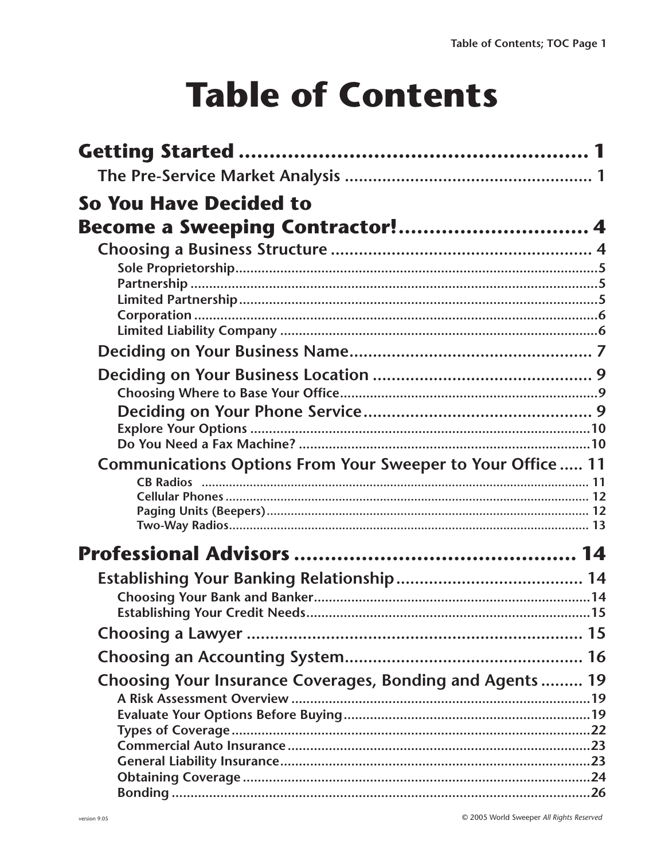## **Table of Contents**

| So You Have Decided to                                      |  |
|-------------------------------------------------------------|--|
| Become a Sweeping Contractor! 4                             |  |
|                                                             |  |
|                                                             |  |
|                                                             |  |
|                                                             |  |
|                                                             |  |
|                                                             |  |
|                                                             |  |
|                                                             |  |
|                                                             |  |
|                                                             |  |
|                                                             |  |
| Communications Options From Your Sweeper to Your Office  11 |  |
|                                                             |  |
|                                                             |  |
|                                                             |  |
|                                                             |  |
|                                                             |  |
|                                                             |  |
|                                                             |  |
|                                                             |  |
|                                                             |  |
|                                                             |  |
| Choosing Your Insurance Coverages, Bonding and Agents 19    |  |
|                                                             |  |
|                                                             |  |
|                                                             |  |
|                                                             |  |
|                                                             |  |
|                                                             |  |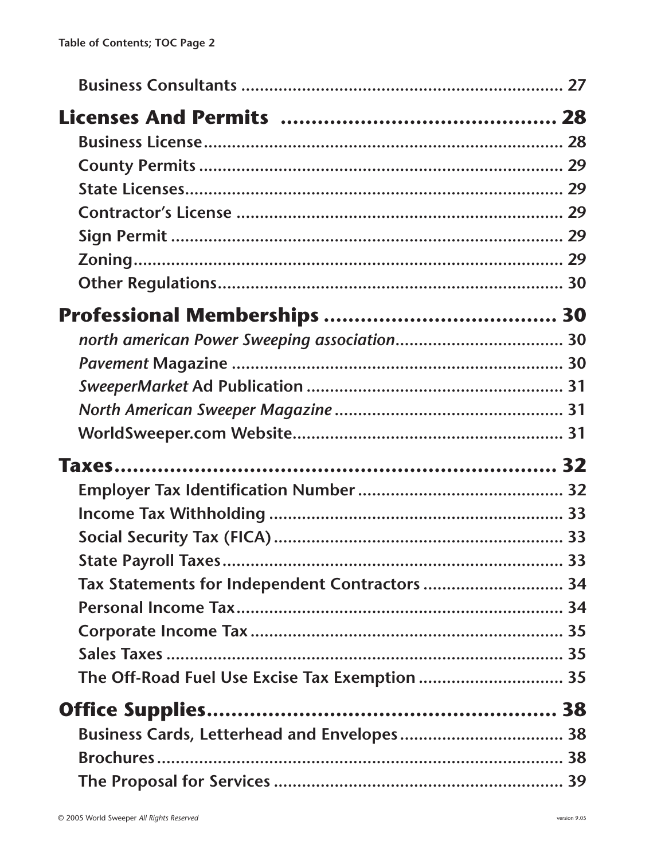|                                                | 33 |
|------------------------------------------------|----|
| Tax Statements for Independent Contractors  34 |    |
|                                                |    |
|                                                |    |
|                                                |    |
| The Off-Road Fuel Use Excise Tax Exemption  35 |    |
|                                                |    |
|                                                |    |
|                                                |    |
|                                                |    |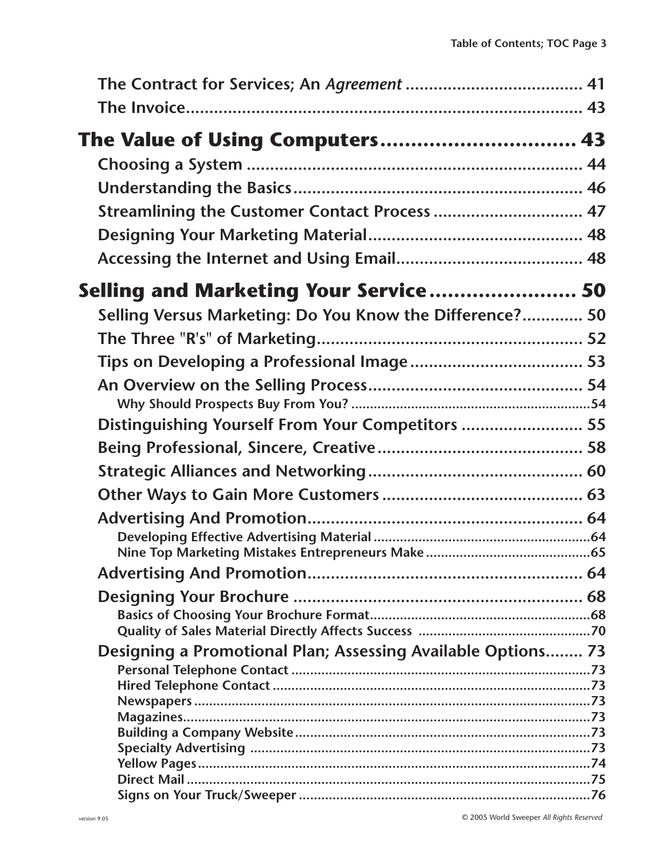| The Value of Using Computers 43                              |  |
|--------------------------------------------------------------|--|
|                                                              |  |
|                                                              |  |
| Streamlining the Customer Contact Process  47                |  |
|                                                              |  |
|                                                              |  |
| Selling and Marketing Your Service 50                        |  |
| Selling Versus Marketing: Do You Know the Difference? 50     |  |
|                                                              |  |
|                                                              |  |
|                                                              |  |
|                                                              |  |
| Distinguishing Yourself From Your Competitors  55            |  |
|                                                              |  |
|                                                              |  |
|                                                              |  |
|                                                              |  |
|                                                              |  |
|                                                              |  |
|                                                              |  |
|                                                              |  |
|                                                              |  |
| Designing a Promotional Plan; Assessing Available Options 73 |  |
|                                                              |  |
|                                                              |  |
|                                                              |  |
|                                                              |  |
|                                                              |  |
|                                                              |  |
|                                                              |  |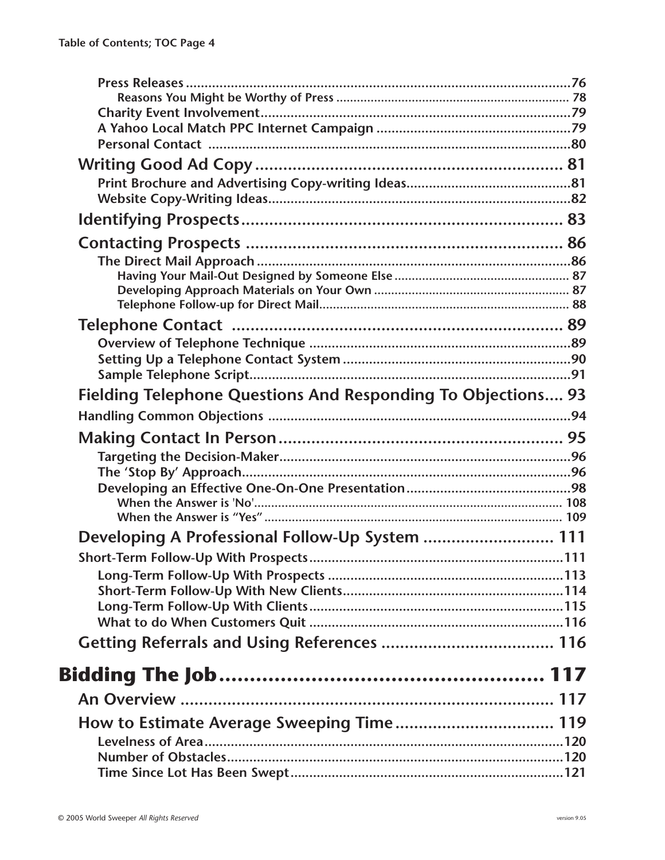| Fielding Telephone Questions And Responding To Objections 93 |  |
|--------------------------------------------------------------|--|
|                                                              |  |
|                                                              |  |
|                                                              |  |
|                                                              |  |
|                                                              |  |
|                                                              |  |
| Developing A Professional Follow-Up System  111              |  |
|                                                              |  |
|                                                              |  |
|                                                              |  |
|                                                              |  |
|                                                              |  |
|                                                              |  |
|                                                              |  |
|                                                              |  |
|                                                              |  |
|                                                              |  |
|                                                              |  |
|                                                              |  |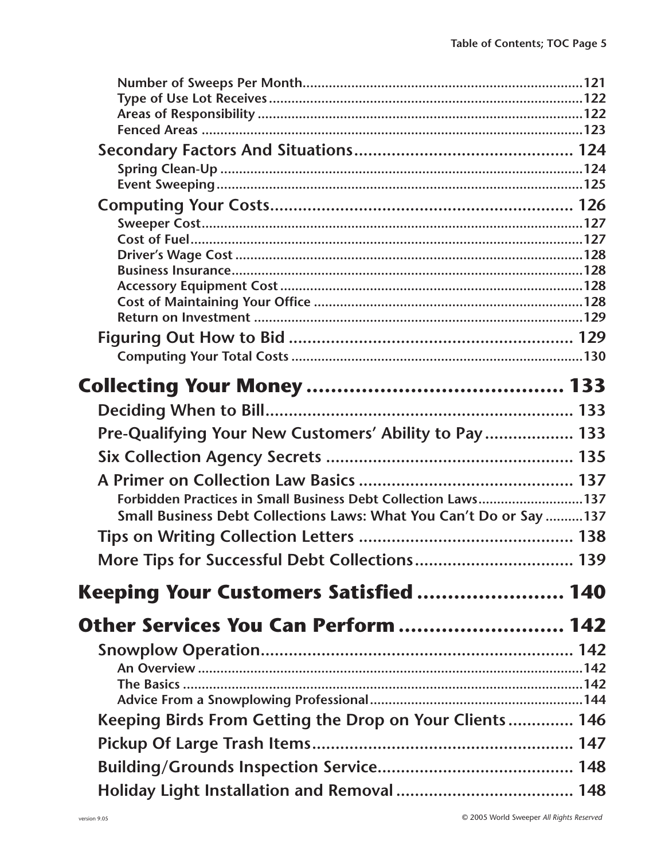| Pre-Qualifying Your New Customers' Ability to Pay  133             |  |
|--------------------------------------------------------------------|--|
|                                                                    |  |
|                                                                    |  |
| Forbidden Practices in Small Business Debt Collection Laws137      |  |
| Small Business Debt Collections Laws: What You Can't Do or Say 137 |  |
|                                                                    |  |
| More Tips for Successful Debt Collections 139                      |  |
| Keeping Your Customers Satisfied  140                              |  |
| Other Services You Can Perform  142                                |  |
|                                                                    |  |
|                                                                    |  |
|                                                                    |  |
|                                                                    |  |
| Keeping Birds From Getting the Drop on Your Clients 146            |  |
|                                                                    |  |
|                                                                    |  |
|                                                                    |  |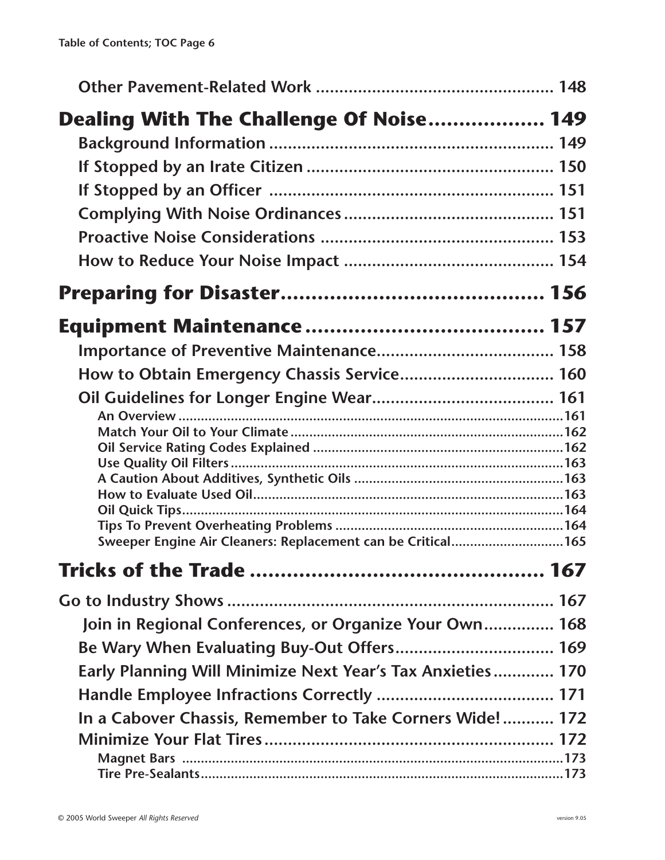| Dealing With The Challenge Of Noise 149                     |  |
|-------------------------------------------------------------|--|
|                                                             |  |
|                                                             |  |
|                                                             |  |
|                                                             |  |
|                                                             |  |
|                                                             |  |
|                                                             |  |
|                                                             |  |
|                                                             |  |
| How to Obtain Emergency Chassis Service 160                 |  |
|                                                             |  |
|                                                             |  |
|                                                             |  |
|                                                             |  |
|                                                             |  |
|                                                             |  |
|                                                             |  |
| Sweeper Engine Air Cleaners: Replacement can be Critical165 |  |
|                                                             |  |
|                                                             |  |
| Join in Regional Conferences, or Organize Your Own 168      |  |
|                                                             |  |
| Early Planning Will Minimize Next Year's Tax Anxieties 170  |  |
|                                                             |  |
| In a Cabover Chassis, Remember to Take Corners Wide! 172    |  |
|                                                             |  |
|                                                             |  |
|                                                             |  |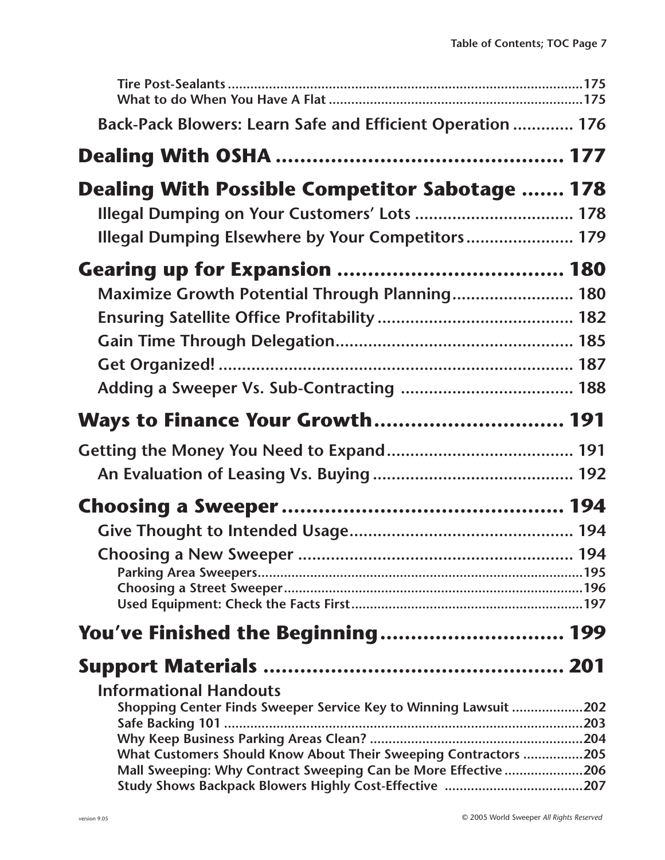| Back-Pack Blowers: Learn Safe and Efficient Operation  176       |  |
|------------------------------------------------------------------|--|
|                                                                  |  |
| <b>Dealing With Possible Competitor Sabotage  178</b>            |  |
| Illegal Dumping on Your Customers' Lots  178                     |  |
| Illegal Dumping Elsewhere by Your Competitors 179                |  |
|                                                                  |  |
| Maximize Growth Potential Through Planning 180                   |  |
|                                                                  |  |
|                                                                  |  |
|                                                                  |  |
|                                                                  |  |
| Ways to Finance Your Growth 191                                  |  |
|                                                                  |  |
|                                                                  |  |
|                                                                  |  |
|                                                                  |  |
|                                                                  |  |
|                                                                  |  |
|                                                                  |  |
| You've Finished the Beginning 199                                |  |
|                                                                  |  |
| <b>Informational Handouts</b>                                    |  |
| Shopping Center Finds Sweeper Service Key to Winning Lawsuit 202 |  |
|                                                                  |  |
| What Customers Should Know About Their Sweeping Contractors 205  |  |
| Mall Sweeping: Why Contract Sweeping Can be More Effective 206   |  |